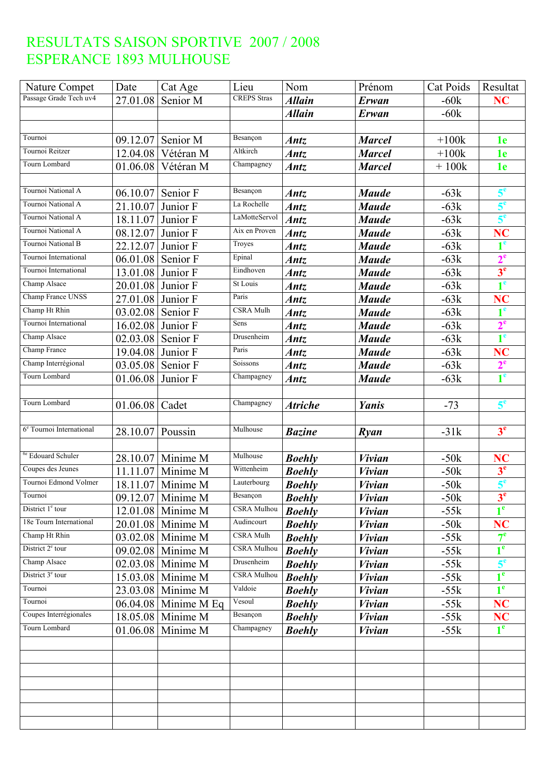| Nature Compet                        | Date     | Cat Age             | Lieu               | Nom            | Prénom        | Cat Poids | Resultat       |
|--------------------------------------|----------|---------------------|--------------------|----------------|---------------|-----------|----------------|
| Passage Grade Tech uv4               | 27.01.08 | Senior M            | <b>CREPS</b> Stras | <b>Allain</b>  | Erwan         | $-60k$    | <b>NC</b>      |
|                                      |          |                     |                    | <b>Allain</b>  | Erwan         | $-60k$    |                |
|                                      |          |                     |                    |                |               |           |                |
| Tournoi                              | 09.12.07 | Senior M            | Besançon           | Antz           | <b>Marcel</b> | $+100k$   | 1e             |
| Tournoi Reitzer                      | 12.04.08 | Vétéran M           | Altkirch           | Antz           | <b>Marcel</b> | $+100k$   | 1e             |
| Tourn Lombard                        | 01.06.08 | Vétéran M           | Champagney         | <b>Antz</b>    | <b>Marcel</b> | $+100k$   | 1e             |
|                                      |          |                     |                    |                |               |           |                |
| Tournoi National A                   | 06.10.07 | Senior F            | Besancon           | Antz           | <b>Maude</b>  | $-63k$    | 5 <sup>e</sup> |
| Tournoi National A                   | 21.10.07 | Junior F            | La Rochelle        | <b>Antz</b>    | <b>Maude</b>  | $-63k$    | 5 <sup>e</sup> |
| Tournoi National A                   | 18.11.07 | Junior F            | LaMotteServol      | <b>Antz</b>    | <b>Maude</b>  | $-63k$    | 5 <sup>e</sup> |
| Tournoi National A                   | 08.12.07 | Junior F            | Aix en Proven      | Antz           | <b>Maude</b>  | $-63k$    | NC             |
| Tournoi National B                   | 22.12.07 | Junior F            | Troyes             | Antz           | <b>Maude</b>  | $-63k$    | 1 <sup>e</sup> |
| Tournoi International                | 06.01.08 | Senior F            | Epinal             | Antz           | <b>Maude</b>  | $-63k$    | 2 <sup>e</sup> |
| Tournoi International                | 13.01.08 | Junior F            | Eindhoven          | Antz           | <b>Maude</b>  | $-63k$    | 3 <sup>e</sup> |
| Champ Alsace                         | 20.01.08 | Junior F            | St Louis           | Antz           | <b>Maude</b>  | $-63k$    | 1 <sup>e</sup> |
| Champ France UNSS                    | 27.01.08 | Junior F            | Paris              | Antz           | <b>Maude</b>  | $-63k$    | NC             |
| Champ Ht Rhin                        | 03.02.08 | Senior F            | <b>CSRA Mulh</b>   | Antz           | <b>Maude</b>  | $-63k$    | 1 <sup>e</sup> |
| Tournoi International                | 16.02.08 | Junior F            | Sens               | Antz           | <b>Maude</b>  | $-63k$    | 2 <sup>e</sup> |
| Champ Alsace                         | 02.03.08 | Senior F            | Drusenheim         | Antz           | <b>Maude</b>  | $-63k$    | 1 <sup>e</sup> |
| Champ France                         | 19.04.08 | Junior F            | Paris              | <b>Antz</b>    | <b>Maude</b>  | $-63k$    | NC             |
| Champ Interrégional                  | 03.05.08 | Senior F            | Soissons           | Antz           | <b>Maude</b>  | $-63k$    | 2 <sup>e</sup> |
| Tourn Lombard                        | 01.06.08 | Junior F            | Champagney         | <b>Antz</b>    | <b>Maude</b>  | $-63k$    | 1 <sup>e</sup> |
|                                      |          |                     |                    |                |               |           |                |
| Tourn Lombard                        | 01.06.08 | Cadet               | Champagney         | <b>Atriche</b> | Yanis         | $-73$     | 5 <sup>e</sup> |
|                                      |          |                     |                    |                |               |           |                |
| 6 <sup>e</sup> Tournoi International | 28.10.07 | Poussin             | Mulhouse           | <b>Bazine</b>  | Ryan          | $-31k$    | 3 <sup>e</sup> |
|                                      |          |                     |                    |                |               |           |                |
| <sup>6e</sup> Edouard Schuler        | 28.10.07 | Minime M            | Mulhouse           | <b>Boehly</b>  | <b>Vivian</b> | $-50k$    | NC             |
| Coupes des Jeunes                    | 11.11.07 | Minime M            | Wittenheim         | <b>Boehly</b>  | <b>Vivian</b> | $-50k$    | 3 <sup>e</sup> |
| Tournoi Edmond Volmer                | 18.11.07 | Minime M            | Lauterbourg        | <b>Boehly</b>  | <b>Vivian</b> | $-50k$    | 5 <sup>e</sup> |
| Tournoi                              |          | 09.12.07 Minime M   | Besançon           | <b>Boehly</b>  | <b>Vivian</b> | $-50k$    | 3 <sup>e</sup> |
| District 1 <sup>e</sup> tour         |          | $12.01.08$ Minime M | <b>CSRA Mulhou</b> | <b>Boehly</b>  | <i>Vivian</i> | $-55k$    | 1 <sup>e</sup> |
| 18e Tourn International              | 20.01.08 | Minime M            | Audincourt         | <b>Boehly</b>  | <b>Vivian</b> | $-50k$    | NC             |
| Champ Ht Rhin                        |          | 03.02.08 Minime M   | <b>CSRA Mulh</b>   | <b>Boehly</b>  | <b>Vivian</b> | $-55k$    | $7^{\circ}$    |
| District 2 <sup>e</sup> tour         | 09.02.08 | Minime M            | <b>CSRA</b> Mulhou | <b>Boehly</b>  | <b>Vivian</b> | $-55k$    | 1 <sup>e</sup> |
| Champ Alsace                         | 02.03.08 | Minime M            | Drusenheim         | <b>Boehly</b>  | <b>Vivian</b> | $-55k$    | 5 <sup>e</sup> |
| District 3 <sup>e</sup> tour         | 15.03.08 | Minime M            | CSRA Mulhou        | <b>Boehly</b>  | <i>Vivian</i> | $-55k$    | 1 <sup>e</sup> |
| Tournoi                              | 23.03.08 | Minime M            | Valdoie            | <b>Boehly</b>  | <b>Vivian</b> | $-55k$    | 1 <sup>e</sup> |
| Tournoi                              | 06.04.08 | Minime M Eq         | Vesoul             | <b>Boehly</b>  | <b>Vivian</b> | $-55k$    | <b>NC</b>      |
| Coupes Interrégionales               | 18.05.08 | Minime M            | Besançon           | <b>Boehly</b>  | <b>Vivian</b> | $-55k$    | <b>NC</b>      |
| Tourn Lombard                        | 01.06.08 | Minime M            | Champagney         | <b>Boehly</b>  | <b>Vivian</b> | $-55k$    | 1 <sup>e</sup> |
|                                      |          |                     |                    |                |               |           |                |
|                                      |          |                     |                    |                |               |           |                |
|                                      |          |                     |                    |                |               |           |                |
|                                      |          |                     |                    |                |               |           |                |
|                                      |          |                     |                    |                |               |           |                |
|                                      |          |                     |                    |                |               |           |                |
|                                      |          |                     |                    |                |               |           |                |
|                                      |          |                     |                    |                |               |           |                |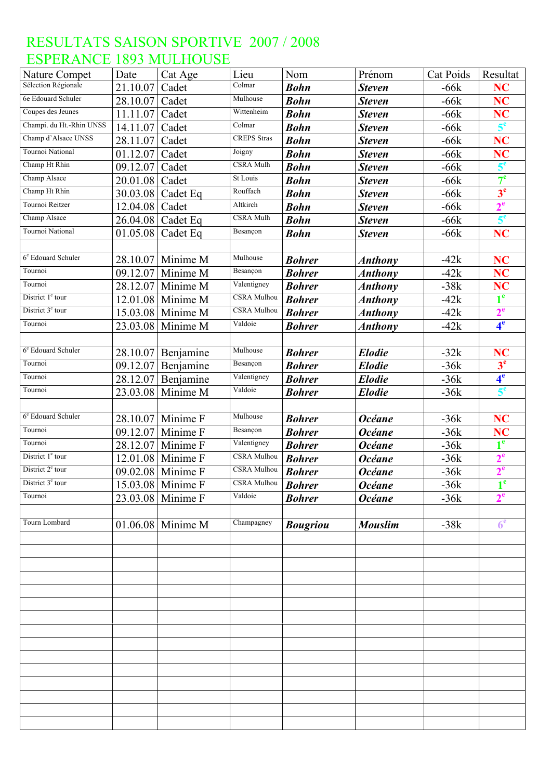| <b>Nature Compet</b>           | Date     | Cat Age           | Lieu               | Nom             | Prénom         | Cat Poids | Resultat                |
|--------------------------------|----------|-------------------|--------------------|-----------------|----------------|-----------|-------------------------|
| Sélection Régionale            | 21.10.07 | Cadet             | Colmar             | <b>Bohn</b>     | <b>Steven</b>  | $-66k$    | <b>NC</b>               |
| 6e Edouard Schuler             | 28.10.07 | Cadet             | Mulhouse           | <b>Bohn</b>     | <b>Steven</b>  | $-66k$    | NC                      |
| Coupes des Jeunes              | 11.11.07 | Cadet             | Wittenheim         | <b>Bohn</b>     | <b>Steven</b>  | $-66k$    | NC                      |
| Champi. du Ht.-Rhin UNSS       | 14.11.07 | Cadet             | Colmar             | <b>Bohn</b>     | <b>Steven</b>  | $-66k$    | 5 <sup>e</sup>          |
| Champ d'Alsace UNSS            | 28.11.07 | Cadet             | <b>CREPS</b> Stras | <b>Bohn</b>     | <b>Steven</b>  | $-66k$    | NC                      |
| Tournoi National               | 01.12.07 | Cadet             | Joigny             | <b>Bohn</b>     | <b>Steven</b>  | $-66k$    | <b>NC</b>               |
| Champ Ht Rhin                  | 09.12.07 | Cadet             | <b>CSRA Mulh</b>   | <b>Bohn</b>     | <b>Steven</b>  | $-66k$    | 5 <sup>e</sup>          |
| Champ Alsace                   | 20.01.08 | Cadet             | St Louis           | <b>Bohn</b>     | <b>Steven</b>  | $-66k$    | 7 <sup>e</sup>          |
| Champ Ht Rhin                  | 30.03.08 | Cadet Eq          | Rouffach           | <b>Bohn</b>     | <b>Steven</b>  | $-66k$    | 3 <sup>e</sup>          |
| Tournoi Reitzer                | 12.04.08 | Cadet             | Altkirch           | <b>Bohn</b>     | <b>Steven</b>  | $-66k$    | $2^e$                   |
| Champ Alsace                   | 26.04.08 | Cadet Eq          | <b>CSRA</b> Mulh   | <b>Bohn</b>     | <b>Steven</b>  | $-66k$    | 5 <sup>e</sup>          |
| Tournoi National               | 01.05.08 | Cadet Eq          | Besançon           | <b>Bohn</b>     | <b>Steven</b>  | $-66k$    | <b>NC</b>               |
|                                |          |                   |                    |                 |                |           |                         |
| 6 <sup>e</sup> Edouard Schuler | 28.10.07 | Minime M          | Mulhouse           | <b>Bohrer</b>   | <b>Anthony</b> | $-42k$    | NC                      |
| Tournoi                        | 09.12.07 | Minime M          | Besançon           | <b>Bohrer</b>   | <b>Anthony</b> | $-42k$    | <b>NC</b>               |
| Tournoi                        | 28.12.07 | Minime M          | Valentigney        | <b>Bohrer</b>   | <b>Anthony</b> | $-38k$    | <b>NC</b>               |
| District 1 <sup>e</sup> tour   | 12.01.08 | Minime M          | <b>CSRA Mulhou</b> | <b>Bohrer</b>   | <b>Anthony</b> | $-42k$    | 1 <sup>e</sup>          |
| District 3 <sup>e</sup> tour   | 15.03.08 | Minime M          | <b>CSRA</b> Mulhou | <b>Bohrer</b>   | <b>Anthony</b> | $-42k$    | 2 <sup>e</sup>          |
| Tournoi                        | 23.03.08 | Minime M          | Valdoie            | <b>Bohrer</b>   | <b>Anthony</b> | $-42k$    | 4 <sup>e</sup>          |
|                                |          |                   |                    |                 |                |           |                         |
| 6 <sup>e</sup> Edouard Schuler | 28.10.07 | Benjamine         | Mulhouse           | <b>Bohrer</b>   | <b>Elodie</b>  | $-32k$    | <b>NC</b>               |
| Tournoi                        | 09.12.07 | Benjamine         | Besançon           | <b>Bohrer</b>   | <b>Elodie</b>  | $-36k$    | 3 <sup>e</sup>          |
| Tournoi                        | 28.12.07 | Benjamine         | Valentigney        | <b>Bohrer</b>   | <b>Elodie</b>  | $-36k$    | 4 <sup>e</sup>          |
| Tournoi                        | 23.03.08 | Minime M          | Valdoie            | <b>Bohrer</b>   | <b>Elodie</b>  | $-36k$    | 5 <sup>e</sup>          |
|                                |          |                   |                    |                 |                |           |                         |
| 6 <sup>e</sup> Edouard Schuler | 28.10.07 | Minime F          | Mulhouse           | <b>Bohrer</b>   | <b>Océane</b>  | $-36k$    | <b>NC</b>               |
| Tournoi                        | 09.12.07 | Minime F          | Besançon           | <b>Bohrer</b>   | <b>Océane</b>  | $-36k$    | <b>NC</b>               |
| Tournoi                        | 28.12.07 | Minime F          | Valentigney        | <b>Bohrer</b>   | <b>Océane</b>  | $-36k$    | 1 <sup>e</sup>          |
| District 1 <sup>e</sup> tour   | 12.01.08 | Minime F          | <b>CSRA</b> Mulhou | <b>Bohrer</b>   | <b>Océane</b>  | $-36k$    | 2 <sup>e</sup>          |
| District 2 <sup>e</sup> tour   |          | 09.02.08 Minime F | <b>CSRA Mulhou</b> | <b>Bohrer</b>   | <b>Océane</b>  | $-36k$    | 2 <sup>e</sup>          |
| District $3e$ tour             |          | 15.03.08 Minime F | <b>CSRA</b> Mulhou | <b>Bohrer</b>   | <b>Océane</b>  | $-36k$    | $\triangleleft$ e<br>T. |
| Tournoi                        |          | 23.03.08 Minime F | Valdoie            | <b>Bohrer</b>   | <b>Océane</b>  | $-36k$    | 2 <sup>e</sup>          |
|                                |          |                   |                    |                 |                |           |                         |
| Tourn Lombard                  |          | 01.06.08 Minime M | Champagney         | <b>Bougriou</b> | <b>Mouslim</b> | $-38k$    | 6 <sup>e</sup>          |
|                                |          |                   |                    |                 |                |           |                         |
|                                |          |                   |                    |                 |                |           |                         |
|                                |          |                   |                    |                 |                |           |                         |
|                                |          |                   |                    |                 |                |           |                         |
|                                |          |                   |                    |                 |                |           |                         |
|                                |          |                   |                    |                 |                |           |                         |
|                                |          |                   |                    |                 |                |           |                         |
|                                |          |                   |                    |                 |                |           |                         |
|                                |          |                   |                    |                 |                |           |                         |
|                                |          |                   |                    |                 |                |           |                         |
|                                |          |                   |                    |                 |                |           |                         |
|                                |          |                   |                    |                 |                |           |                         |
|                                |          |                   |                    |                 |                |           |                         |
|                                |          |                   |                    |                 |                |           |                         |
|                                |          |                   |                    |                 |                |           |                         |
|                                |          |                   |                    |                 |                |           |                         |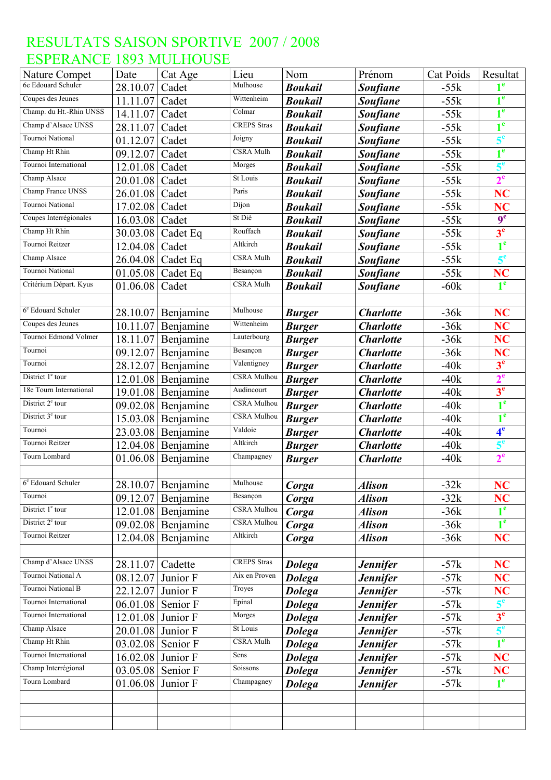| Nature Compet                  | Date              | Cat Age              | Lieu               | Nom            | Prénom           | Cat Poids | Resultat       |
|--------------------------------|-------------------|----------------------|--------------------|----------------|------------------|-----------|----------------|
| 6e Edouard Schuler             | 28.10.07          | Cadet                | Mulhouse           | <b>Boukail</b> | <b>Soufiane</b>  | $-55k$    |                |
| Coupes des Jeunes              | 11.11.07          | Cadet                | Wittenheim         | <b>Boukail</b> | <b>Soufiane</b>  | $-55k$    | 1 <sup>e</sup> |
| Champ. du Ht.-Rhin UNSS        | 14.11.07          | Cadet                | Colmar             | <b>Boukail</b> | <b>Soufiane</b>  | $-55k$    | 1 <sup>e</sup> |
| Champ d'Alsace UNSS            | 28.11.07          | Cadet                | <b>CREPS</b> Stras | <b>Boukail</b> | <b>Soufiane</b>  | $-55k$    | 1 <sup>e</sup> |
| Tournoi National               | 01.12.07          | Cadet                | Joigny             | <b>Boukail</b> | <b>Soufiane</b>  | $-55k$    | 5 <sup>e</sup> |
| Champ Ht Rhin                  | 09.12.07          | Cadet                | CSRA Mulh          | <b>Boukail</b> | <b>Soufiane</b>  | $-55k$    | $1^e$          |
| Tournoi International          | 12.01.08          | Cadet                | Morges             | <b>Boukail</b> | <b>Soufiane</b>  | $-55k$    | 5 <sup>e</sup> |
| Champ Alsace                   | 20.01.08          | Cadet                | St Louis           | <b>Boukail</b> | <b>Soufiane</b>  | $-55k$    | 2 <sup>e</sup> |
| Champ France UNSS              | 26.01.08          | Cadet                | Paris              | <b>Boukail</b> | <b>Soufiane</b>  | $-55k$    | NC             |
| Tournoi National               | 17.02.08          | Cadet                | Dijon              | <b>Boukail</b> | <b>Soufiane</b>  | $-55k$    | NC             |
| Coupes Interrégionales         | 16.03.08          | Cadet                | St Dié             | <b>Boukail</b> | <b>Soufiane</b>  | $-55k$    | 9 <sup>e</sup> |
| Champ Ht Rhin                  | 30.03.08          | Cadet Eq             | Rouffach           | <b>Boukail</b> | <b>Soufiane</b>  | $-55k$    | 3 <sup>e</sup> |
| Tournoi Reitzer                | 12.04.08          | Cadet                | Altkirch           | <b>Boukail</b> | <b>Soufiane</b>  | $-55k$    | 1 <sup>e</sup> |
| Champ Alsace                   | 26.04.08          | Cadet Eq             | CSRA Mulh          | <b>Boukail</b> | <b>Soufiane</b>  | $-55k$    | 5 <sup>e</sup> |
| Tournoi National               |                   | 01.05.08 Cadet Eq    | Besançon           | <b>Boukail</b> | <b>Soufiane</b>  | $-55k$    | <b>NC</b>      |
| Critérium Départ. Kyus         | 01.06.08          | Cadet                | CSRA Mulh          | <b>Boukail</b> | <b>Soufiane</b>  | $-60k$    | 1 <sup>e</sup> |
|                                |                   |                      |                    |                |                  |           |                |
| 6 <sup>e</sup> Edouard Schuler | 28.10.07          | Benjamine            | Mulhouse           | <b>Burger</b>  | <b>Charlotte</b> | $-36k$    | <b>NC</b>      |
| Coupes des Jeunes              | 10.11.07          | Benjamine            | Wittenheim         | <b>Burger</b>  | <b>Charlotte</b> | $-36k$    | <b>NC</b>      |
| Tournoi Edmond Volmer          | 18.11.07          | Benjamine            | Lauterbourg        | <b>Burger</b>  | <b>Charlotte</b> | $-36k$    | <b>NC</b>      |
| Tournoi                        | 09.12.07          | Benjamine            | Besançon           | <b>Burger</b>  | <b>Charlotte</b> | $-36k$    | <b>NC</b>      |
| Tournoi                        | 28.12.07          | Benjamine            | Valentigney        | <b>Burger</b>  | <b>Charlotte</b> | $-40k$    | 3 <sup>e</sup> |
| District 1 <sup>e</sup> tour   |                   | 12.01.08 Benjamine   | CSRA Mulhou        | <b>Burger</b>  | <b>Charlotte</b> | $-40k$    | 2 <sup>e</sup> |
| 18e Tourn International        | 19.01.08          | Benjamine            | Audincourt         | <b>Burger</b>  | <b>Charlotte</b> | $-40k$    | 3 <sup>e</sup> |
| District 2 <sup>e</sup> tour   | 09.02.08          | Benjamine            | CSRA Mulhou        | <b>Burger</b>  | <b>Charlotte</b> | $-40k$    | 1 <sup>e</sup> |
| District 3 <sup>e</sup> tour   | 15.03.08          | Benjamine            | CSRA Mulhou        | <b>Burger</b>  | <b>Charlotte</b> | $-40k$    | 1 <sup>e</sup> |
| Tournoi                        | 23.03.08          | Benjamine            | Valdoie            | <b>Burger</b>  | <b>Charlotte</b> | $-40k$    | 4 <sup>e</sup> |
| Tournoi Reitzer                |                   | 12.04.08 Benjamine   | Altkirch           | <b>Burger</b>  | <b>Charlotte</b> | $-40k$    | 5 <sup>e</sup> |
| Tourn Lombard                  | 01.06.08          | Benjamine            | Champagney         | <b>Burger</b>  | <b>Charlotte</b> | $-40k$    | 2 <sup>e</sup> |
|                                |                   |                      |                    |                |                  |           |                |
| 6 <sup>e</sup> Edouard Schuler |                   | 28.10.07 Benjamine   | Mulhouse           | Corga          | <b>Alison</b>    | $-32k$    | <b>NC</b>      |
| Tournoi                        | 09.12.07          | Benjamine            | Besançon           | Corga          | Alison           | $-32k$    | NC             |
| District 1 <sup>e</sup> tour   |                   | $12.01.08$ Benjamine | <b>CSRA</b> Mulhou | Corga          | <b>Alison</b>    | $-36k$    | 1 <sup>e</sup> |
| District 2 <sup>e</sup> tour   |                   | $09.02.08$ Benjamine | <b>CSRA Mulhou</b> | Corga          | <b>Alison</b>    | $-36k$    | 1 <sup>e</sup> |
| Tournoi Reitzer                | 12.04.08          | Benjamine            | Altkirch           | Corga          | <b>Alison</b>    | $-36k$    | NC             |
|                                |                   |                      |                    |                |                  |           |                |
| Champ d'Alsace UNSS            | 28.11.07          | Cadette              | <b>CREPS</b> Stras | <b>Dolega</b>  | <b>Jennifer</b>  | $-57k$    | <b>NC</b>      |
| Tournoi National A             | 08.12.07          | Junior F             | Aix en Proven      | <b>Dolega</b>  | <b>Jennifer</b>  | $-57k$    | <b>NC</b>      |
| Tournoi National B             | 22.12.07 Junior F |                      | Troyes             | <b>Dolega</b>  | <b>Jennifer</b>  | $-57k$    | NC             |
| Tournoi International          |                   | 06.01.08 Senior F    | Epinal             | <b>Dolega</b>  | <b>Jennifer</b>  | $-57k$    | 5 <sup>e</sup> |
| Tournoi International          | 12.01.08 Junior F |                      | Morges             | <b>Dolega</b>  | <b>Jennifer</b>  | $-57k$    | 3 <sup>e</sup> |
| Champ Alsace                   | 20.01.08          | Junior F             | St Louis           | <b>Dolega</b>  | <b>Jennifer</b>  | $-57k$    | 5 <sup>e</sup> |
| Champ Ht Rhin                  | 03.02.08 Senior F |                      | CSRA Mulh          | <b>Dolega</b>  | <b>Jennifer</b>  | $-57k$    | 1 <sup>e</sup> |
| Tournoi International          | 16.02.08 Junior F |                      | Sens               | <b>Dolega</b>  | <b>Jennifer</b>  | $-57k$    | <b>NC</b>      |
| Champ Interrégional            | 03.05.08 Senior F |                      | Soissons           | <b>Dolega</b>  | <b>Jennifer</b>  | $-57k$    | NC             |
| Tourn Lombard                  | 01.06.08          | Junior F             | Champagney         | <b>Dolega</b>  | <b>Jennifer</b>  | $-57k$    | 1 <sup>e</sup> |
|                                |                   |                      |                    |                |                  |           |                |
|                                |                   |                      |                    |                |                  |           |                |
|                                |                   |                      |                    |                |                  |           |                |
|                                |                   |                      |                    |                |                  |           |                |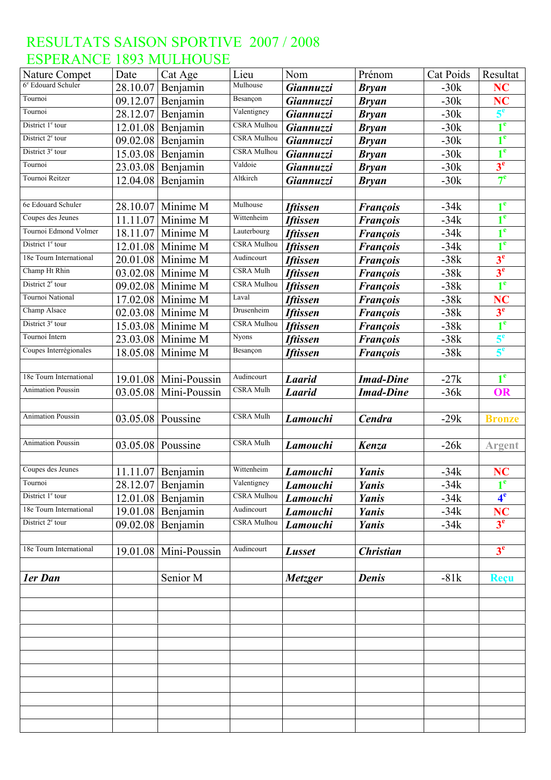| Nature Compet                  | Date     | Cat Age             | Lieu               | Nom             | Prénom           | Cat Poids | Resultat       |
|--------------------------------|----------|---------------------|--------------------|-----------------|------------------|-----------|----------------|
| 6 <sup>e</sup> Edouard Schuler | 28.10.07 | Benjamin            | Mulhouse           | Giannuzzi       | <b>Bryan</b>     | $-30k$    | <b>NC</b>      |
| Tournoi                        | 09.12.07 | Benjamin            | Besançon           | Giannuzzi       | <b>Bryan</b>     | $-30k$    | <b>NC</b>      |
| Tournoi                        | 28.12.07 | Benjamin            | Valentigney        | Giannuzzi       | <b>Bryan</b>     | $-30k$    | 5 <sup>e</sup> |
| District 1 <sup>e</sup> tour   | 12.01.08 | Benjamin            | CSRA Mulhou        | Giannuzzi       | <b>Bryan</b>     | $-30k$    | 1 <sup>e</sup> |
| District 2 <sup>e</sup> tour   | 09.02.08 | Benjamin            | CSRA Mulhou        | Giannuzzi       | <b>Bryan</b>     | $-30k$    | $1^e$          |
| District 3 <sup>e</sup> tour   | 15.03.08 | Benjamin            | <b>CSRA</b> Mulhou | Giannuzzi       | <b>Bryan</b>     | $-30k$    | $1^e$          |
| Tournoi                        | 23.03.08 | Benjamin            | Valdoie            | Giannuzzi       | <b>Bryan</b>     | $-30k$    | 3 <sup>e</sup> |
| Tournoi Reitzer                | 12.04.08 | Benjamin            | Altkirch           | Giannuzzi       | <b>Bryan</b>     | $-30k$    | 7 <sup>e</sup> |
|                                |          |                     |                    |                 |                  |           |                |
| 6e Edouard Schuler             | 28.10.07 | Minime M            | Mulhouse           | <b>Iftissen</b> | <b>François</b>  | $-34k$    | 1 <sup>e</sup> |
| Coupes des Jeunes              | 11.11.07 | Minime M            | Wittenheim         | <b>Iftissen</b> | <b>François</b>  | $-34k$    | 1 <sup>e</sup> |
| Tournoi Edmond Volmer          | 18.11.07 | Minime M            | Lauterbourg        | <b>Iftissen</b> | <b>François</b>  | $-34k$    | 1 <sup>e</sup> |
| District 1 <sup>e</sup> tour   | 12.01.08 | Minime M            | <b>CSRA</b> Mulhou | <b>Iftissen</b> | <b>François</b>  | $-34k$    | $1^e$          |
| 18e Tourn International        | 20.01.08 | Minime M            | Audincourt         | <b>Iftissen</b> | <b>François</b>  | $-38k$    | 3 <sup>e</sup> |
| Champ Ht Rhin                  | 03.02.08 | Minime M            | CSRA Mulh          | <b>Iftissen</b> | <b>François</b>  | $-38k$    | 3 <sup>e</sup> |
| District 2 <sup>e</sup> tour   | 09.02.08 | Minime M            | <b>CSRA</b> Mulhou | <b>Iftissen</b> | <b>François</b>  | $-38k$    | 1 <sup>e</sup> |
| Tournoi National               | 17.02.08 | Minime M            | Laval              | <b>Iftissen</b> | <b>François</b>  | $-38k$    | NC             |
| Champ Alsace                   | 02.03.08 | Minime M            | Drusenheim         | <b>Iftissen</b> | <b>François</b>  | $-38k$    | 3 <sup>e</sup> |
| District 3 <sup>e</sup> tour   | 15.03.08 | Minime M            | <b>CSRA</b> Mulhou | <b>Iftissen</b> | <b>François</b>  | $-38k$    | 1 <sup>e</sup> |
| Tournoi Intern                 | 23.03.08 | Minime M            | <b>Nyons</b>       | <b>Iftissen</b> | <b>François</b>  | $-38k$    | 5 <sup>e</sup> |
| Coupes Interrégionales         | 18.05.08 | Minime M            | Besançon           | <b>Iftissen</b> | <b>François</b>  | $-38k$    | 5 <sup>e</sup> |
|                                |          |                     |                    |                 |                  |           |                |
| 18e Tourn International        | 19.01.08 | Mini-Poussin        | Audincourt         | <b>Laarid</b>   | <b>Imad-Dine</b> | $-27k$    | 1 <sup>e</sup> |
| <b>Animation Poussin</b>       | 03.05.08 | Mini-Poussin        | <b>CSRA Mulh</b>   | <b>Laarid</b>   | <b>Imad-Dine</b> | $-36k$    | <b>OR</b>      |
|                                |          |                     |                    |                 |                  |           |                |
| Animation Poussin              | 03.05.08 | Poussine            | CSRA Mulh          | Lamouchi        | Cendra           | $-29k$    | <b>Bronze</b>  |
|                                |          |                     |                    |                 |                  |           |                |
| <b>Animation Poussin</b>       | 03.05.08 | Poussine            | <b>CSRA Mulh</b>   | Lamouchi        | Kenza            | $-26k$    | <b>Argent</b>  |
|                                |          |                     |                    |                 |                  |           |                |
| Coupes des Jeunes              |          | 11.11.07 Benjamin   | Wittenheim         | Lamouchi        | Yanis            | $-34k$    | <b>NC</b>      |
| Tournoi                        |          | 28.12.07 Benjamin   | Valentigney        | <b>Lamouchi</b> | Yanis            | $-34k$    | 1 <sup>e</sup> |
| District 1 <sup>e</sup> tour   |          | $12.01.08$ Benjamin | <b>CSRA Mulhou</b> | Lamouchi        | Yanis            | $-34k$    | 4 <sup>e</sup> |
| 18e Tourn International        |          | $19.01.08$ Benjamin | Audincourt         | Lamouchi        | Yanis            | $-34k$    | <b>NC</b>      |
| District 2 <sup>e</sup> tour   |          | 09.02.08 Benjamin   | <b>CSRA</b> Mulhou | Lamouchi        | Yanis            | $-34k$    | 3 <sup>e</sup> |
|                                |          |                     |                    |                 |                  |           |                |
| 18e Tourn International        | 19.01.08 | Mini-Poussin        | Audincourt         | Lusset          | <b>Christian</b> |           | 3 <sup>e</sup> |
|                                |          |                     |                    |                 |                  |           |                |
| 1er Dan                        |          | Senior M            |                    | Metzger         | <b>Denis</b>     | $-81k$    | <b>Reçu</b>    |
|                                |          |                     |                    |                 |                  |           |                |
|                                |          |                     |                    |                 |                  |           |                |
|                                |          |                     |                    |                 |                  |           |                |
|                                |          |                     |                    |                 |                  |           |                |
|                                |          |                     |                    |                 |                  |           |                |
|                                |          |                     |                    |                 |                  |           |                |
|                                |          |                     |                    |                 |                  |           |                |
|                                |          |                     |                    |                 |                  |           |                |
|                                |          |                     |                    |                 |                  |           |                |
|                                |          |                     |                    |                 |                  |           |                |
|                                |          |                     |                    |                 |                  |           |                |
|                                |          |                     |                    |                 |                  |           |                |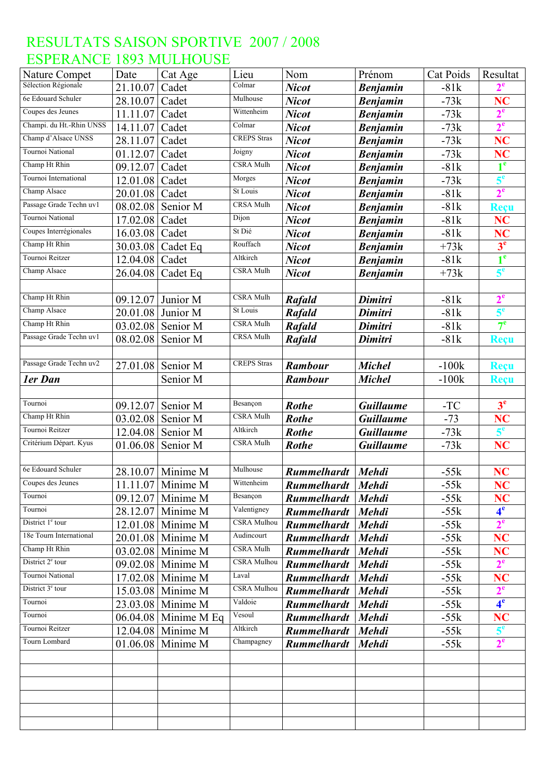| Nature Compet                | Date     | Cat Age                       | Lieu                       | Nom                                      | Prénom                       | <b>Cat Poids</b>      | Resultat                    |
|------------------------------|----------|-------------------------------|----------------------------|------------------------------------------|------------------------------|-----------------------|-----------------------------|
| Sélection Régionale          | 21.10.07 | Cadet                         | $\overline{\text{Colmar}}$ | <b>Nicot</b>                             | <b>Benjamin</b>              | $-81k$                | $2^e$                       |
| 6e Edouard Schuler           | 28.10.07 | Cadet                         | Mulhouse                   | <b>Nicot</b>                             | <b>Benjamin</b>              | $-73k$                | NC                          |
| Coupes des Jeunes            | 11.11.07 | Cadet                         | Wittenheim                 | <b>Nicot</b>                             | <b>Benjamin</b>              | $-73k$                | 2 <sup>e</sup>              |
| Champi. du Ht.-Rhin UNSS     | 14.11.07 | Cadet                         | Colmar                     | <b>Nicot</b>                             | <b>Benjamin</b>              | $-73k$                | 2 <sup>e</sup>              |
| Champ d'Alsace UNSS          | 28.11.07 | Cadet                         | <b>CREPS</b> Stras         | <b>Nicot</b>                             | <b>Benjamin</b>              | $-73k$                | NC                          |
| Tournoi National             | 01.12.07 | Cadet                         | Joigny                     | <b>Nicot</b>                             | <b>Benjamin</b>              | $-73k$                | <b>NC</b>                   |
| Champ Ht Rhin                | 09.12.07 | Cadet                         | CSRA Mulh                  | <b>Nicot</b>                             | <b>Benjamin</b>              | $-81k$                | 1 <sup>e</sup>              |
| Tournoi International        | 12.01.08 | Cadet                         | Morges                     | <b>Nicot</b>                             | <b>Benjamin</b>              | $-73k$                | 5 <sup>e</sup>              |
| Champ Alsace                 | 20.01.08 | Cadet                         | St Louis                   | <b>Nicot</b>                             | <b>Benjamin</b>              | $-81k$                | 2 <sup>e</sup>              |
| Passage Grade Techn uv1      | 08.02.08 | Senior M                      | <b>CRSA Mulh</b>           | <b>Nicot</b>                             | <b>Benjamin</b>              | $-81k$                | Reçu                        |
| Tournoi National             | 17.02.08 | Cadet                         | Dijon                      | <b>Nicot</b>                             | <b>Benjamin</b>              | $-81k$                | <b>NC</b>                   |
| Coupes Interrégionales       | 16.03.08 | Cadet                         | St Dié                     | <b>Nicot</b>                             | <b>Benjamin</b>              | $-81k$                | <b>NC</b>                   |
| Champ Ht Rhin                | 30.03.08 | Cadet Eq                      | Rouffach                   | <b>Nicot</b>                             | <b>Benjamin</b>              | $+73k$                | 3 <sup>e</sup>              |
| Tournoi Reitzer              | 12.04.08 | Cadet                         | Altkirch                   | <b>Nicot</b>                             | <b>Benjamin</b>              | $-81k$                | 1 <sup>e</sup>              |
| Champ Alsace                 | 26.04.08 | Cadet Eq                      | CSRA Mulh                  | <b>Nicot</b>                             | <b>Benjamin</b>              | $+73k$                | 5 <sup>e</sup>              |
|                              |          |                               |                            |                                          |                              |                       |                             |
| Champ Ht Rhin                | 09.12.07 | Junior M                      | CSRA Mulh                  | <b>Rafald</b>                            | Dimitri                      | $-81k$                | $2^e$                       |
| Champ Alsace                 | 20.01.08 | Junior M                      | St Louis                   | Rafald                                   | Dimitri                      | $-81k$                | 5 <sup>e</sup>              |
| Champ Ht Rhin                | 03.02.08 | Senior M                      | CSRA Mulh                  | Rafald                                   | Dimitri                      | $-81k$                | $7^{\circ}$                 |
| Passage Grade Techn uv1      | 08.02.08 | Senior M                      | CRSA Mulh                  | <b>Rafald</b>                            | Dimitri                      | $-81k$                | <b>Reçu</b>                 |
|                              |          |                               |                            |                                          |                              |                       |                             |
| Passage Grade Techn uv2      | 27.01.08 | Senior M                      | <b>CREPS</b> Stras         | <b>Rambour</b>                           | <b>Michel</b>                | $-100k$               | Reçu                        |
| ler Dan                      |          | Senior M                      |                            | <b>Rambour</b>                           | <b>Michel</b>                | $-100k$               | <b>Reçu</b>                 |
|                              |          |                               |                            |                                          |                              |                       |                             |
| Tournoi                      | 09.12.07 | Senior M                      | Besançon                   | <b>Rothe</b>                             | <b>Guillaume</b>             | $\mbox{-}\mathrm{TC}$ | 3 <sup>e</sup>              |
| Champ Ht Rhin                | 03.02.08 | Senior M                      | CSRA Mulh                  | <b>Rothe</b>                             | <b>Guillaume</b>             | $-73$                 | NC                          |
| Tournoi Reitzer              | 12.04.08 | Senior M                      | Altkirch                   | <b>Rothe</b>                             | <b>Guillaume</b>             | $-73k$                | 5 <sup>e</sup>              |
| Critérium Départ. Kyus       | 01.06.08 | Senior M                      | <b>CSRA Mulh</b>           | <b>Rothe</b>                             | <b>Guillaume</b>             | $-73k$                | NC                          |
| 6e Edouard Schuler           |          |                               | Mulhouse                   |                                          |                              |                       |                             |
| Coupes des Jeunes            |          | 28.10.07 Minime M             | Wittenheim                 | <b>Rummelhardt</b>                       | Mehdi                        | $-55k$                | <b>NC</b>                   |
| Tournoi                      |          | 11.11.07 Minime M             | Besançon                   | Rummelhardt Mehdi                        |                              | $-55k$                | NC                          |
| Tournoi                      |          | 09.12.07   Minime M           | Valentigney                | <b>Rummelhardt</b>                       | <b>Mehdi</b>                 | $-55k$                | <b>NC</b><br>4 <sup>e</sup> |
| District $1e$ tour           |          | 28.12.07 Minime M             | <b>CSRA</b> Mulhou         | <b>Rummelhardt</b>                       | <b>Mehdi</b>                 | $-55k$                | 2 <sup>e</sup>              |
| 18e Tourn International      |          | 12.01.08 Minime M             | Audincourt                 | <b>Rummelhardt</b>                       | <b>Mehdi</b>                 | $-55k$                |                             |
| Champ Ht Rhin                |          | 20.01.08 Minime M             | <b>CSRA Mulh</b>           | <b>Rummelhardt</b>                       | <b>Mehdi</b>                 | $-55k$                | <b>NC</b>                   |
| District 2 <sup>e</sup> tour | 03.02.08 | Minime M<br>09.02.08 Minime M | CSRA Mulhou                | <b>Rummelhardt</b><br><b>Rummelhardt</b> | <b>Mehdi</b>                 | $-55k$<br>$-55k$      | N <sub>C</sub><br>$2^e$     |
| Tournoi National             |          | 17.02.08 Minime M             | Laval                      | <b>Rummelhardt</b>                       | <b>Mehdi</b><br><b>Mehdi</b> | $-55k$                | NC                          |
| District $3e$ tour           | 15.03.08 | Minime M                      | <b>CSRA Mulhou</b>         | <b>Rummelhardt</b>                       | <b>Mehdi</b>                 | $-55k$                | 2 <sup>e</sup>              |
| Tournoi                      | 23.03.08 | Minime M                      | Valdoie                    | <b>Rummelhardt</b>                       | <b>Mehdi</b>                 | $-55k$                | 4 <sup>e</sup>              |
| Tournoi                      |          | 06.04.08 Minime M Eq          | Vesoul                     | <b>Rummelhardt</b>                       | <b>Mehdi</b>                 | $-55k$                | <b>NC</b>                   |
| Tournoi Reitzer              | 12.04.08 | Minime M                      | Altkirch                   | <b>Rummelhardt</b>                       | <b>Mehdi</b>                 | $-55k$                | 5 <sup>e</sup>              |
| Tourn Lombard                |          | 01.06.08 Minime M             | Champagney                 | <b>Rummelhardt</b>                       | <b>Mehdi</b>                 | $-55k$                | 2 <sup>e</sup>              |
|                              |          |                               |                            |                                          |                              |                       |                             |
|                              |          |                               |                            |                                          |                              |                       |                             |
|                              |          |                               |                            |                                          |                              |                       |                             |
|                              |          |                               |                            |                                          |                              |                       |                             |
|                              |          |                               |                            |                                          |                              |                       |                             |
|                              |          |                               |                            |                                          |                              |                       |                             |
|                              |          |                               |                            |                                          |                              |                       |                             |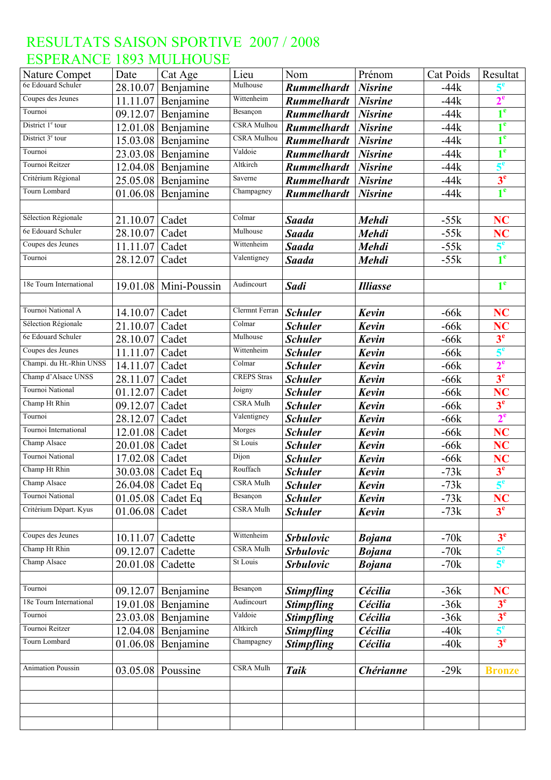| Nature Compet                | Date                 | Cat Age                | Lieu               | Nom                | Prénom           | <b>Cat Poids</b> | Resultat                    |
|------------------------------|----------------------|------------------------|--------------------|--------------------|------------------|------------------|-----------------------------|
| 6e Edouard Schuler           | 28.10.07             | Benjamine              | Mulhouse           | <b>Rummelhardt</b> | <b>Nisrine</b>   | $-44k$           | $5^{\mathrm{e}}$            |
| Coupes des Jeunes            | 11.11.07             | Benjamine              | Wittenheim         | <b>Rummelhardt</b> | <b>Nisrine</b>   | $-44k$           | $2^e$                       |
| Tournoi                      | 09.12.07             | Benjamine              | Besançon           | <b>Rummelhardt</b> | <b>Nisrine</b>   | $-44k$           | 1 <sup>e</sup>              |
| District 1 <sup>e</sup> tour | 12.01.08             | Benjamine              | <b>CSRA</b> Mulhou | <b>Rummelhardt</b> | <b>Nisrine</b>   | $-44k$           | 1 <sup>e</sup>              |
| District 3 <sup>e</sup> tour | 15.03.08             | Benjamine              | CSRA Mulhou        | <b>Rummelhardt</b> | <b>Nisrine</b>   | $-44k$           | 1 <sup>e</sup>              |
| Tournoi                      | 23.03.08             | Benjamine              | Valdoie            | <b>Rummelhardt</b> | <b>Nisrine</b>   | $-44k$           | 1 <sup>e</sup>              |
| Tournoi Reitzer              | 12.04.08             | Benjamine              | Altkirch           | <b>Rummelhardt</b> | <b>Nisrine</b>   | $-44k$           | 5 <sup>e</sup>              |
| Critérium Régional           | 25.05.08             | Benjamine              | Saverne            | <b>Rummelhardt</b> | <b>Nisrine</b>   | $-44k$           | 3 <sup>e</sup>              |
| Tourn Lombard                | 01.06.08             | Benjamine              | Champagney         | <b>Rummelhardt</b> | <b>Nisrine</b>   | $-44k$           | 1 <sup>e</sup>              |
|                              |                      |                        |                    |                    |                  |                  |                             |
| Sélection Régionale          | 21.10.07             | Cadet                  | Colmar             | <b>Saada</b>       | <b>Mehdi</b>     | $-55k$           | <b>NC</b>                   |
| 6e Edouard Schuler           | 28.10.07             | Cadet                  | Mulhouse           | <b>Saada</b>       | <b>Mehdi</b>     | $-55k$           | NC                          |
| Coupes des Jeunes            | 11.11.07             | Cadet                  | Wittenheim         | <b>Saada</b>       | <b>Mehdi</b>     | $-55k$           | $5^e$                       |
| Tournoi                      | 28.12.07             | Cadet                  | Valentigney        | <b>Saada</b>       | <b>Mehdi</b>     | $-55k$           | 1 <sup>e</sup>              |
|                              |                      |                        |                    |                    |                  |                  |                             |
| 18e Tourn International      |                      | 19.01.08 Mini-Poussin  | Audincourt         | <b>Sadi</b>        | <b>Illiasse</b>  |                  | 1 <sup>e</sup>              |
|                              |                      |                        |                    |                    |                  |                  |                             |
| Tournoi National A           | 14.10.07             | Cadet                  | Clermnt Ferran     | <b>Schuler</b>     | <b>Kevin</b>     | $-66k$           | <b>NC</b>                   |
| Sélection Régionale          | 21.10.07             | Cadet                  | Colmar             | <b>Schuler</b>     | Kevin            | $-66k$           | NC                          |
| 6e Edouard Schuler           | 28.10.07             | Cadet                  | Mulhouse           | <b>Schuler</b>     | Kevin            | $-66k$           | 3 <sup>e</sup>              |
| Coupes des Jeunes            | 11.11.07             | Cadet                  | Wittenheim         | <b>Schuler</b>     | Kevin            | $-66k$           | $5^e$                       |
| Champi. du Ht.-Rhin UNSS     | 14.11.07             | Cadet                  | Colmar             | <b>Schuler</b>     | <b>Kevin</b>     | $-66k$           | 2 <sup>e</sup>              |
| Champ d'Alsace UNSS          | 28.11.07             | Cadet                  | <b>CREPS</b> Stras | <b>Schuler</b>     | <b>Kevin</b>     | $-66k$           | 3 <sup>e</sup>              |
| Tournoi National             | 01.12.07             | Cadet                  | Joigny             | <b>Schuler</b>     | Kevin            | $-66k$           | <b>NC</b>                   |
| Champ Ht Rhin                | 09.12.07             | Cadet                  | <b>CSRA Mulh</b>   | <b>Schuler</b>     | Kevin            | $-66k$           | 3 <sup>e</sup>              |
| Tournoi                      | 28.12.07             | Cadet                  | Valentigney        | <b>Schuler</b>     | Kevin            | $-66k$           | 2 <sup>e</sup>              |
| Tournoi International        | 12.01.08             | Cadet                  | Morges             | <b>Schuler</b>     | <b>Kevin</b>     | $-66k$           | <b>NC</b>                   |
| Champ Alsace                 | 20.01.08             | Cadet                  | St Louis           | <b>Schuler</b>     | Kevin            | $-66k$           | <b>NC</b>                   |
| Tournoi National             | 17.02.08             | Cadet                  | Dijon              | <b>Schuler</b>     | Kevin            | $-66k$           | <b>NC</b>                   |
| Champ Ht Rhin                |                      | 30.03.08 Cadet Eq      | Rouffach           | <b>Schuler</b>     | Kevin            | $-73k$           | 3 <sup>e</sup>              |
| Champ Alsace                 |                      | 26.04.08 Cadet Eq      | <b>CSRA Mulh</b>   | <b>Schuler</b>     | Kevin            | $-73k$           | 5 <sup>e</sup>              |
| Tournoi National             | 01.05.08             | Cadet Eq               | Besançon           | <b>Schuler</b>     | Kevin            | $-73k$           | <b>NC</b>                   |
| Critérium Départ. Kyus       | 01.06.08             | Cadet                  | <b>CSRA Mulh</b>   | <b>Schuler</b>     | Kevin            | $-73k$           | 3 <sup>e</sup>              |
|                              |                      |                        |                    |                    |                  |                  |                             |
| Coupes des Jeunes            | 10.11.07             | Cadette                | Wittenheim         | <b>Srbulovic</b>   | <b>Bojana</b>    | $-70k$           | 3 <sup>e</sup>              |
| Champ Ht Rhin                | 09.12.07             | Cadette                | <b>CSRA Mulh</b>   | <b>Srbulovic</b>   | <b>Bojana</b>    | $-70k$           | $5^e$                       |
| Champ Alsace                 | 20.01.08             | Cadette                | St Louis           | <b>Srbulovic</b>   | <b>Bojana</b>    | $-70k$           | 5 <sup>e</sup>              |
|                              |                      |                        |                    |                    |                  |                  |                             |
| Tournoi                      |                      |                        | Besançon           |                    | Cécilia          | $-36k$           |                             |
| 18e Tourn International      | 09.12.07             | Benjamine              | Audincourt         | <b>Stimpfling</b>  | Cécilia          | $-36k$           | <b>NC</b><br>3 <sup>e</sup> |
| Tournoi                      | 19.01.08<br>23.03.08 | Benjamine<br>Benjamine | Valdoie            | <b>Stimpfling</b>  | Cécilia          | $-36k$           | 3 <sup>e</sup>              |
| Tournoi Reitzer              |                      |                        | Altkirch           | <b>Stimpfling</b>  |                  |                  | 5 <sup>e</sup>              |
| Tourn Lombard                | 12.04.08             | Benjamine              | Champagney         | <b>Stimpfling</b>  | Cécilia          | $-40k$           | 3 <sup>e</sup>              |
|                              | 01.06.08             | Benjamine              |                    | <b>Stimpfling</b>  | Cécilia          | $-40k$           |                             |
| <b>Animation Poussin</b>     |                      |                        | <b>CSRA Mulh</b>   |                    |                  |                  |                             |
|                              | 03.05.08             | Poussine               |                    | <b>Taik</b>        | <b>Chérianne</b> | $-29k$           | <b>Bronze</b>               |
|                              |                      |                        |                    |                    |                  |                  |                             |
|                              |                      |                        |                    |                    |                  |                  |                             |
|                              |                      |                        |                    |                    |                  |                  |                             |
|                              |                      |                        |                    |                    |                  |                  |                             |